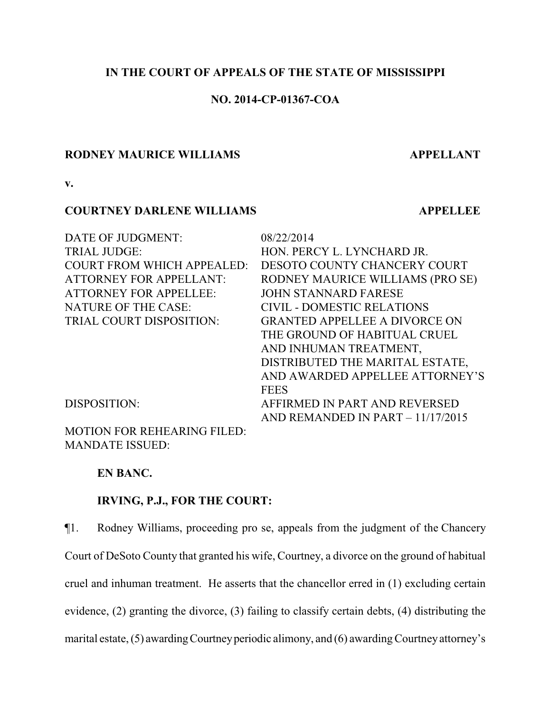## **IN THE COURT OF APPEALS OF THE STATE OF MISSISSIPPI**

## **NO. 2014-CP-01367-COA**

#### **RODNEY MAURICE WILLIAMS APPELLANT**

**v.**

## **COURTNEY DARLENE WILLIAMS APPELLEE**

| DATE OF JUDGMENT:                  | 08/22/2014                           |
|------------------------------------|--------------------------------------|
| <b>TRIAL JUDGE:</b>                | HON. PERCY L. LYNCHARD JR.           |
| <b>COURT FROM WHICH APPEALED:</b>  | <b>DESOTO COUNTY CHANCERY COURT</b>  |
| <b>ATTORNEY FOR APPELLANT:</b>     | RODNEY MAURICE WILLIAMS (PRO SE)     |
| <b>ATTORNEY FOR APPELLEE:</b>      | <b>JOHN STANNARD FARESE</b>          |
| <b>NATURE OF THE CASE:</b>         | <b>CIVIL - DOMESTIC RELATIONS</b>    |
| TRIAL COURT DISPOSITION:           | <b>GRANTED APPELLEE A DIVORCE ON</b> |
|                                    | THE GROUND OF HABITUAL CRUEL         |
|                                    | AND INHUMAN TREATMENT,               |
|                                    | DISTRIBUTED THE MARITAL ESTATE,      |
|                                    | AND AWARDED APPELLEE ATTORNEY'S      |
|                                    | <b>FEES</b>                          |
| DISPOSITION:                       | AFFIRMED IN PART AND REVERSED        |
|                                    | AND REMANDED IN PART $-11/17/2015$   |
| <b>MOTION FOR REHEARING FILED:</b> |                                      |

**EN BANC.**

MANDATE ISSUED:

## **IRVING, P.J., FOR THE COURT:**

¶1. Rodney Williams, proceeding pro se, appeals from the judgment of the Chancery Court of DeSoto County that granted his wife, Courtney, a divorce on the ground of habitual cruel and inhuman treatment. He asserts that the chancellor erred in (1) excluding certain evidence, (2) granting the divorce, (3) failing to classify certain debts, (4) distributing the marital estate,  $(5)$  awarding Courtney periodic alimony, and  $(6)$  awarding Courtney attorney's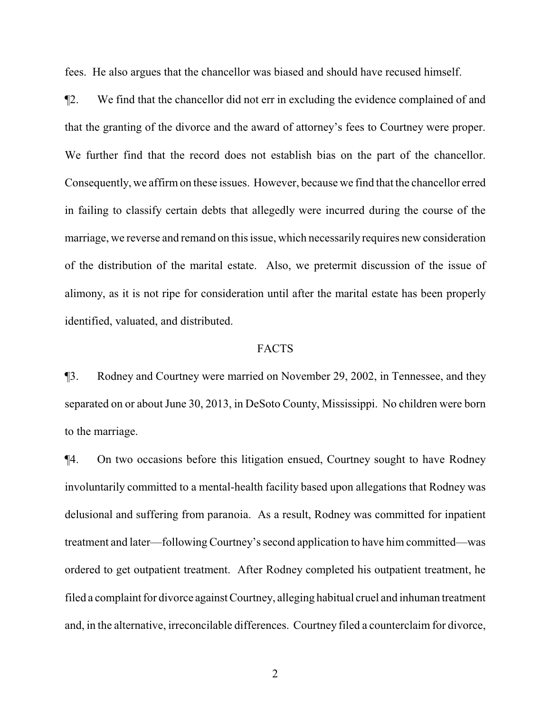fees. He also argues that the chancellor was biased and should have recused himself.

¶2. We find that the chancellor did not err in excluding the evidence complained of and that the granting of the divorce and the award of attorney's fees to Courtney were proper. We further find that the record does not establish bias on the part of the chancellor. Consequently, we affirmon these issues. However, because we find that the chancellor erred in failing to classify certain debts that allegedly were incurred during the course of the marriage, we reverse and remand on this issue, which necessarily requires new consideration of the distribution of the marital estate. Also, we pretermit discussion of the issue of alimony, as it is not ripe for consideration until after the marital estate has been properly identified, valuated, and distributed.

## FACTS

¶3. Rodney and Courtney were married on November 29, 2002, in Tennessee, and they separated on or about June 30, 2013, in DeSoto County, Mississippi. No children were born to the marriage.

¶4. On two occasions before this litigation ensued, Courtney sought to have Rodney involuntarily committed to a mental-health facility based upon allegations that Rodney was delusional and suffering from paranoia. As a result, Rodney was committed for inpatient treatment and later—following Courtney's second application to have him committed—was ordered to get outpatient treatment. After Rodney completed his outpatient treatment, he filed a complaint for divorce against Courtney, alleging habitual cruel and inhuman treatment and, in the alternative, irreconcilable differences. Courtney filed a counterclaim for divorce,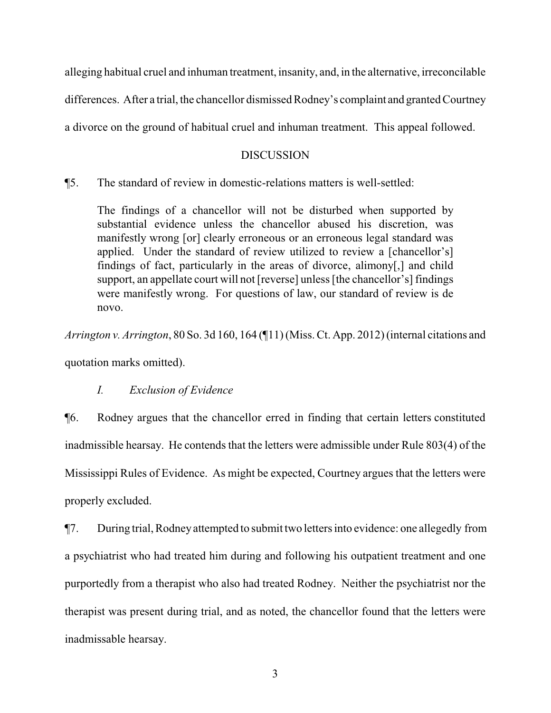alleging habitual cruel and inhuman treatment, insanity, and, in the alternative, irreconcilable

differences. After a trial, the chancellor dismissed Rodney's complaint and granted Courtney

a divorce on the ground of habitual cruel and inhuman treatment. This appeal followed.

### DISCUSSION

¶5. The standard of review in domestic-relations matters is well-settled:

The findings of a chancellor will not be disturbed when supported by substantial evidence unless the chancellor abused his discretion, was manifestly wrong [or] clearly erroneous or an erroneous legal standard was applied. Under the standard of review utilized to review a [chancellor's] findings of fact, particularly in the areas of divorce, alimony[,] and child support, an appellate court will not [reverse] unless [the chancellor's] findings were manifestly wrong. For questions of law, our standard of review is de novo.

*Arrington v. Arrington*, 80 So. 3d 160, 164 (¶11) (Miss. Ct. App. 2012) (internal citations and quotation marks omitted).

*I. Exclusion of Evidence*

¶6. Rodney argues that the chancellor erred in finding that certain letters constituted inadmissible hearsay. He contends that the letters were admissible under Rule 803(4) of the Mississippi Rules of Evidence. As might be expected, Courtney argues that the letters were properly excluded.

¶7. During trial, Rodneyattempted to submit two letters into evidence: one allegedly from a psychiatrist who had treated him during and following his outpatient treatment and one purportedly from a therapist who also had treated Rodney. Neither the psychiatrist nor the therapist was present during trial, and as noted, the chancellor found that the letters were inadmissable hearsay.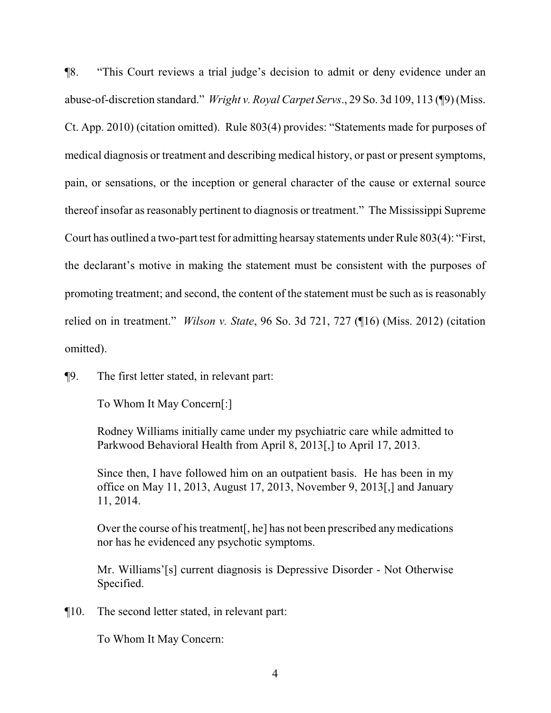¶8. "This Court reviews a trial judge's decision to admit or deny evidence under an abuse-of-discretion standard." *Wright v. Royal Carpet Servs*., 29 So. 3d 109, 113 (¶9) (Miss. Ct. App. 2010) (citation omitted). Rule 803(4) provides: "Statements made for purposes of medical diagnosis or treatment and describing medical history, or past or present symptoms, pain, or sensations, or the inception or general character of the cause or external source thereof insofar as reasonably pertinent to diagnosis or treatment." The Mississippi Supreme Court has outlined a two-part test for admitting hearsay statements under Rule 803(4): "First, the declarant's motive in making the statement must be consistent with the purposes of promoting treatment; and second, the content of the statement must be such as is reasonably relied on in treatment." *Wilson v. State*, 96 So. 3d 721, 727 (¶16) (Miss. 2012) (citation omitted).

¶9. The first letter stated, in relevant part:

To Whom It May Concern[:]

Rodney Williams initially came under my psychiatric care while admitted to Parkwood Behavioral Health from April 8, 2013[,] to April 17, 2013.

Since then, I have followed him on an outpatient basis. He has been in my office on May 11, 2013, August 17, 2013, November 9, 2013[,] and January 11, 2014.

Over the course of his treatment[, he] has not been prescribed anymedications nor has he evidenced any psychotic symptoms.

Mr. Williams'[s] current diagnosis is Depressive Disorder - Not Otherwise Specified.

¶10. The second letter stated, in relevant part:

To Whom It May Concern: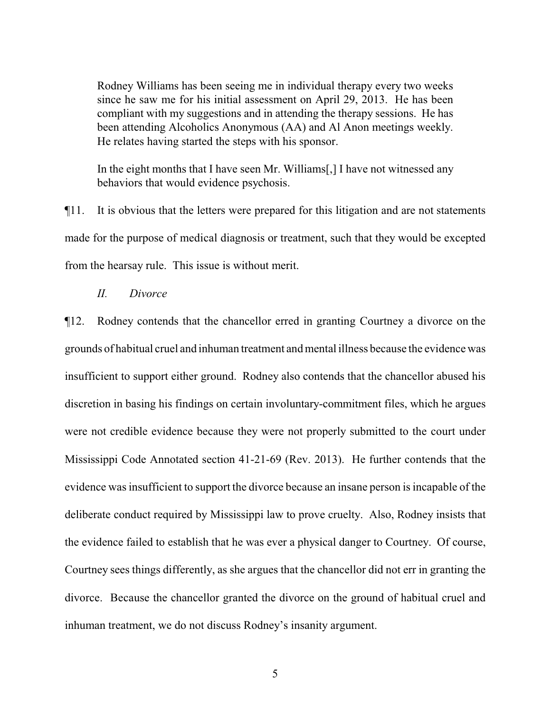Rodney Williams has been seeing me in individual therapy every two weeks since he saw me for his initial assessment on April 29, 2013. He has been compliant with my suggestions and in attending the therapy sessions. He has been attending Alcoholics Anonymous (AA) and Al Anon meetings weekly. He relates having started the steps with his sponsor.

In the eight months that I have seen Mr. Williams[,] I have not witnessed any behaviors that would evidence psychosis.

¶11. It is obvious that the letters were prepared for this litigation and are not statements made for the purpose of medical diagnosis or treatment, such that they would be excepted from the hearsay rule. This issue is without merit.

*II. Divorce*

¶12. Rodney contends that the chancellor erred in granting Courtney a divorce on the grounds of habitual cruel and inhuman treatment and mental illness because the evidence was insufficient to support either ground. Rodney also contends that the chancellor abused his discretion in basing his findings on certain involuntary-commitment files, which he argues were not credible evidence because they were not properly submitted to the court under Mississippi Code Annotated section 41-21-69 (Rev. 2013). He further contends that the evidence was insufficient to support the divorce because an insane person is incapable of the deliberate conduct required by Mississippi law to prove cruelty. Also, Rodney insists that the evidence failed to establish that he was ever a physical danger to Courtney. Of course, Courtney sees things differently, as she argues that the chancellor did not err in granting the divorce. Because the chancellor granted the divorce on the ground of habitual cruel and inhuman treatment, we do not discuss Rodney's insanity argument.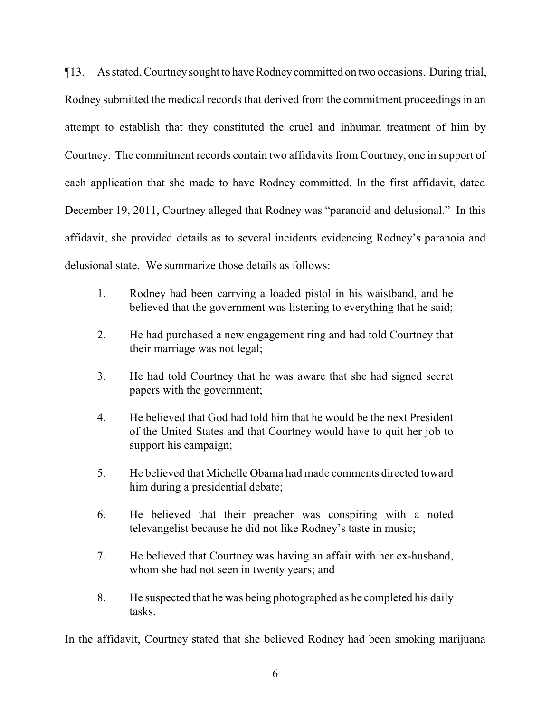¶13. As stated, Courtneysought to have Rodneycommitted on two occasions. During trial, Rodney submitted the medical records that derived from the commitment proceedings in an attempt to establish that they constituted the cruel and inhuman treatment of him by Courtney. The commitment records contain two affidavits from Courtney, one in support of each application that she made to have Rodney committed. In the first affidavit, dated December 19, 2011, Courtney alleged that Rodney was "paranoid and delusional." In this affidavit, she provided details as to several incidents evidencing Rodney's paranoia and delusional state. We summarize those details as follows:

- 1. Rodney had been carrying a loaded pistol in his waistband, and he believed that the government was listening to everything that he said;
- 2. He had purchased a new engagement ring and had told Courtney that their marriage was not legal;
- 3. He had told Courtney that he was aware that she had signed secret papers with the government;
- 4. He believed that God had told him that he would be the next President of the United States and that Courtney would have to quit her job to support his campaign;
- 5. He believed that Michelle Obama had made comments directed toward him during a presidential debate;
- 6. He believed that their preacher was conspiring with a noted televangelist because he did not like Rodney's taste in music;
- 7. He believed that Courtney was having an affair with her ex-husband, whom she had not seen in twenty years; and
- 8. He suspected that he was being photographed as he completed his daily tasks.

In the affidavit, Courtney stated that she believed Rodney had been smoking marijuana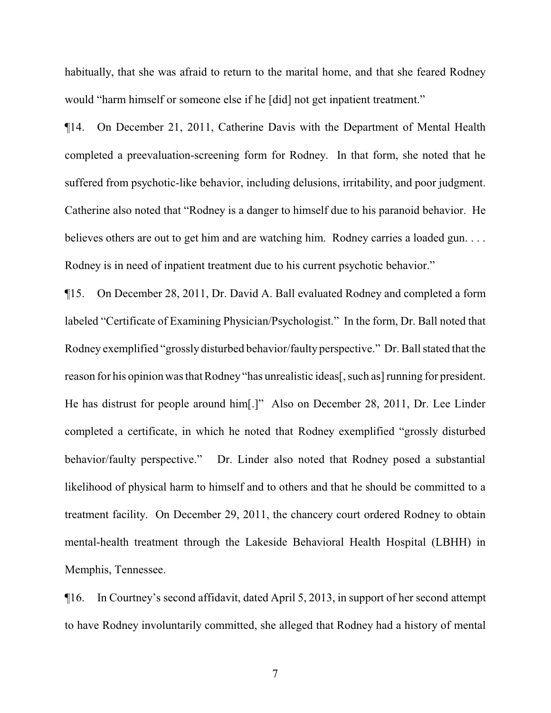habitually, that she was afraid to return to the marital home, and that she feared Rodney would "harm himself or someone else if he [did] not get inpatient treatment."

¶14. On December 21, 2011, Catherine Davis with the Department of Mental Health completed a preevaluation-screening form for Rodney. In that form, she noted that he suffered from psychotic-like behavior, including delusions, irritability, and poor judgment. Catherine also noted that "Rodney is a danger to himself due to his paranoid behavior. He believes others are out to get him and are watching him. Rodney carries a loaded gun.... Rodney is in need of inpatient treatment due to his current psychotic behavior."

¶15. On December 28, 2011, Dr. David A. Ball evaluated Rodney and completed a form labeled "Certificate of Examining Physician/Psychologist." In the form, Dr. Ball noted that Rodney exemplified "grossly disturbed behavior/faulty perspective." Dr. Ball stated that the reason for his opinion was that Rodney "has unrealistic ideas[, such as] running for president. He has distrust for people around him[.]" Also on December 28, 2011, Dr. Lee Linder completed a certificate, in which he noted that Rodney exemplified "grossly disturbed behavior/faulty perspective." Dr. Linder also noted that Rodney posed a substantial likelihood of physical harm to himself and to others and that he should be committed to a treatment facility. On December 29, 2011, the chancery court ordered Rodney to obtain mental-health treatment through the Lakeside Behavioral Health Hospital (LBHH) in Memphis, Tennessee.

¶16. In Courtney's second affidavit, dated April 5, 2013, in support of her second attempt to have Rodney involuntarily committed, she alleged that Rodney had a history of mental

7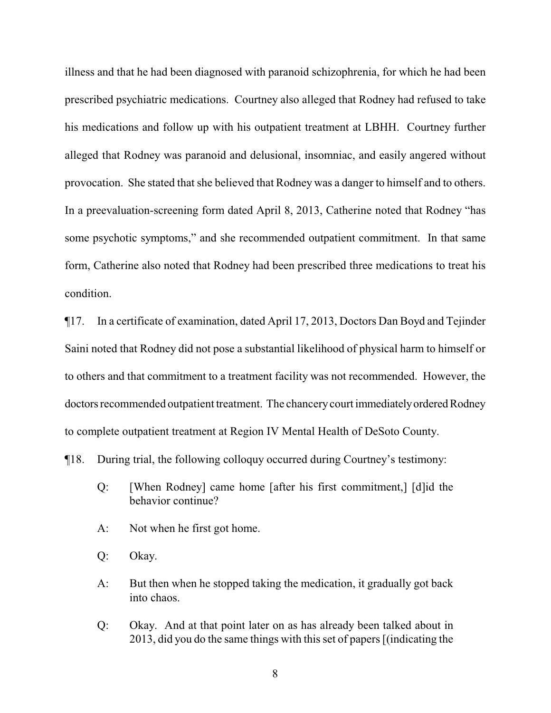illness and that he had been diagnosed with paranoid schizophrenia, for which he had been prescribed psychiatric medications. Courtney also alleged that Rodney had refused to take his medications and follow up with his outpatient treatment at LBHH. Courtney further alleged that Rodney was paranoid and delusional, insomniac, and easily angered without provocation. She stated that she believed that Rodney was a danger to himself and to others. In a preevaluation-screening form dated April 8, 2013, Catherine noted that Rodney "has some psychotic symptoms," and she recommended outpatient commitment. In that same form, Catherine also noted that Rodney had been prescribed three medications to treat his condition.

¶17. In a certificate of examination, dated April 17, 2013, Doctors Dan Boyd and Tejinder Saini noted that Rodney did not pose a substantial likelihood of physical harm to himself or to others and that commitment to a treatment facility was not recommended. However, the doctors recommended outpatient treatment. The chancery court immediately ordered Rodney to complete outpatient treatment at Region IV Mental Health of DeSoto County.

¶18. During trial, the following colloquy occurred during Courtney's testimony:

- Q: [When Rodney] came home [after his first commitment,] [d]id the behavior continue?
- A: Not when he first got home.
- Q: Okay.
- A: But then when he stopped taking the medication, it gradually got back into chaos.
- Q: Okay. And at that point later on as has already been talked about in 2013, did you do the same things with this set of papers [(indicating the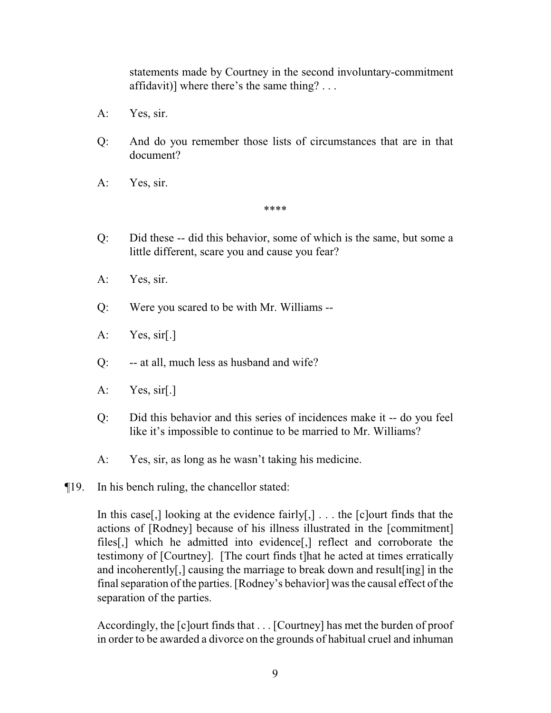statements made by Courtney in the second involuntary-commitment affidavit)] where there's the same thing? . . .

- A: Yes, sir.
- Q: And do you remember those lists of circumstances that are in that document?
- A: Yes, sir.

\*\*\*\*

- Q: Did these -- did this behavior, some of which is the same, but some a little different, scare you and cause you fear?
- A: Yes, sir.
- Q: Were you scared to be with Mr. Williams --
- A: Yes, sir[.]
- Q: -- at all, much less as husband and wife?
- A: Yes, sir[.]
- Q: Did this behavior and this series of incidences make it -- do you feel like it's impossible to continue to be married to Mr. Williams?
- A: Yes, sir, as long as he wasn't taking his medicine.
- ¶19. In his bench ruling, the chancellor stated:

In this case,  $\left[$ ,  $\right]$  looking at the evidence fairly $\left[$ ,  $\right]$ ... the  $\left[$ c $\right]$ ourt finds that the actions of [Rodney] because of his illness illustrated in the [commitment] files[,] which he admitted into evidence[,] reflect and corroborate the testimony of [Courtney]. [The court finds t]hat he acted at times erratically and incoherently[,] causing the marriage to break down and result[ing] in the final separation of the parties. [Rodney's behavior] was the causal effect of the separation of the parties.

Accordingly, the [c]ourt finds that . . . [Courtney] has met the burden of proof in order to be awarded a divorce on the grounds of habitual cruel and inhuman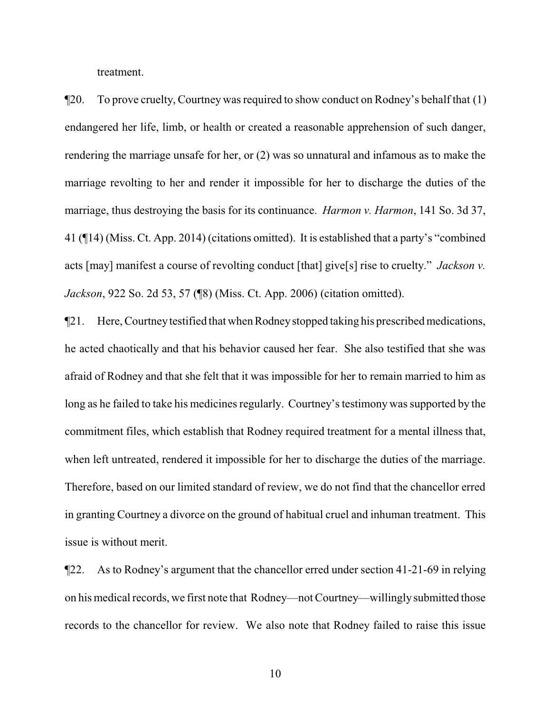treatment.

¶20. To prove cruelty, Courtney was required to show conduct on Rodney's behalf that (1) endangered her life, limb, or health or created a reasonable apprehension of such danger, rendering the marriage unsafe for her, or (2) was so unnatural and infamous as to make the marriage revolting to her and render it impossible for her to discharge the duties of the marriage, thus destroying the basis for its continuance. *Harmon v. Harmon*, 141 So. 3d 37, 41 (¶14) (Miss. Ct. App. 2014) (citations omitted). It is established that a party's "combined acts [may] manifest a course of revolting conduct [that] give[s] rise to cruelty." *Jackson v. Jackson*, 922 So. 2d 53, 57 (¶8) (Miss. Ct. App. 2006) (citation omitted).

¶21. Here, Courtneytestified that when Rodneystopped taking his prescribed medications, he acted chaotically and that his behavior caused her fear. She also testified that she was afraid of Rodney and that she felt that it was impossible for her to remain married to him as long as he failed to take his medicines regularly. Courtney's testimony was supported by the commitment files, which establish that Rodney required treatment for a mental illness that, when left untreated, rendered it impossible for her to discharge the duties of the marriage. Therefore, based on our limited standard of review, we do not find that the chancellor erred in granting Courtney a divorce on the ground of habitual cruel and inhuman treatment. This issue is without merit.

¶22. As to Rodney's argument that the chancellor erred under section 41-21-69 in relying on his medical records, we first note that Rodney—not Courtney—willinglysubmitted those records to the chancellor for review. We also note that Rodney failed to raise this issue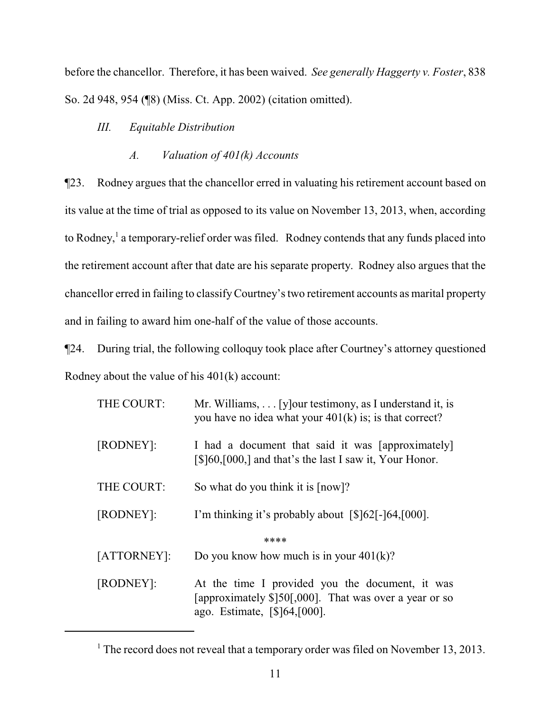before the chancellor. Therefore, it has been waived. *See generally Haggerty v. Foster*, 838 So. 2d 948, 954 (¶8) (Miss. Ct. App. 2002) (citation omitted).

## *III. Equitable Distribution*

## *A. Valuation of 401(k) Accounts*

¶23. Rodney argues that the chancellor erred in valuating his retirement account based on its value at the time of trial as opposed to its value on November 13, 2013, when, according to Rodney,<sup>1</sup> a temporary-relief order was filed. Rodney contends that any funds placed into the retirement account after that date are his separate property. Rodney also argues that the chancellor erred in failing to classifyCourtney's two retirement accounts as marital property and in failing to award him one-half of the value of those accounts.

¶24. During trial, the following colloquy took place after Courtney's attorney questioned Rodney about the value of his 401(k) account:

| THE COURT:  | Mr. Williams, $\ldots$ [y] our testimony, as I understand it, is<br>you have no idea what your $401(k)$ is; is that correct?                 |  |
|-------------|----------------------------------------------------------------------------------------------------------------------------------------------|--|
| [RODNEY]:   | I had a document that said it was [approximately]<br>$\lceil $]60, [000]$ and that's the last I saw it, Your Honor.                          |  |
| THE COURT:  | So what do you think it is $\lceil \text{now} \rceil$ ?                                                                                      |  |
| [RODNEY]:   | I'm thinking it's probably about $\lceil $]62[-]64,[000]$ .                                                                                  |  |
| ****        |                                                                                                                                              |  |
| [ATTORNEY]: | Do you know how much is in your $401(k)$ ?                                                                                                   |  |
| [RODNEY]:   | At the time I provided you the document, it was<br>[approximately $$]50[,000]$ . That was over a year or so<br>ago. Estimate, [\$164, [000]. |  |

<sup>&</sup>lt;sup>1</sup> The record does not reveal that a temporary order was filed on November 13, 2013.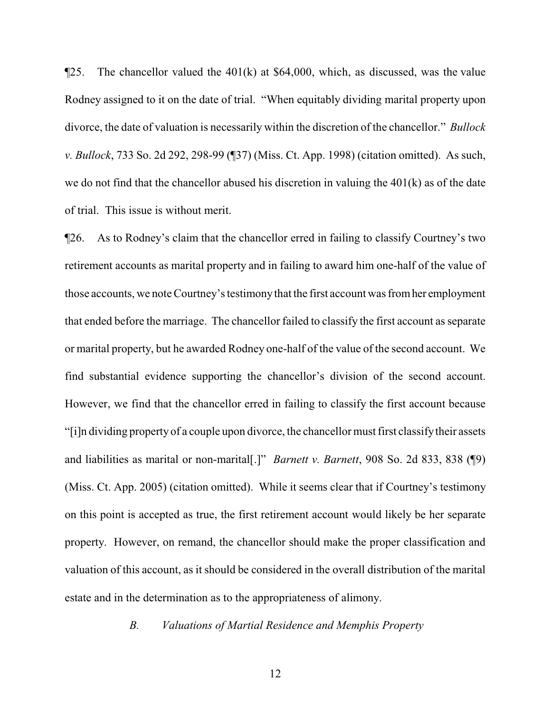$\P$ 25. The chancellor valued the 401(k) at \$64,000, which, as discussed, was the value Rodney assigned to it on the date of trial. "When equitably dividing marital property upon divorce, the date of valuation is necessarily within the discretion of the chancellor." *Bullock v. Bullock*, 733 So. 2d 292, 298-99 (¶37) (Miss. Ct. App. 1998) (citation omitted). As such, we do not find that the chancellor abused his discretion in valuing the 401(k) as of the date of trial. This issue is without merit.

¶26. As to Rodney's claim that the chancellor erred in failing to classify Courtney's two retirement accounts as marital property and in failing to award him one-half of the value of those accounts, we note Courtney's testimonythat the first account was fromher employment that ended before the marriage. The chancellor failed to classify the first account as separate or marital property, but he awarded Rodney one-half of the value of the second account. We find substantial evidence supporting the chancellor's division of the second account. However, we find that the chancellor erred in failing to classify the first account because "[i]n dividing property of a couple upon divorce, the chancellor must first classifytheir assets and liabilities as marital or non-marital[.]" *Barnett v. Barnett*, 908 So. 2d 833, 838 (¶9) (Miss. Ct. App. 2005) (citation omitted). While it seems clear that if Courtney's testimony on this point is accepted as true, the first retirement account would likely be her separate property. However, on remand, the chancellor should make the proper classification and valuation of this account, as it should be considered in the overall distribution of the marital estate and in the determination as to the appropriateness of alimony.

*B. Valuations of Martial Residence and Memphis Property*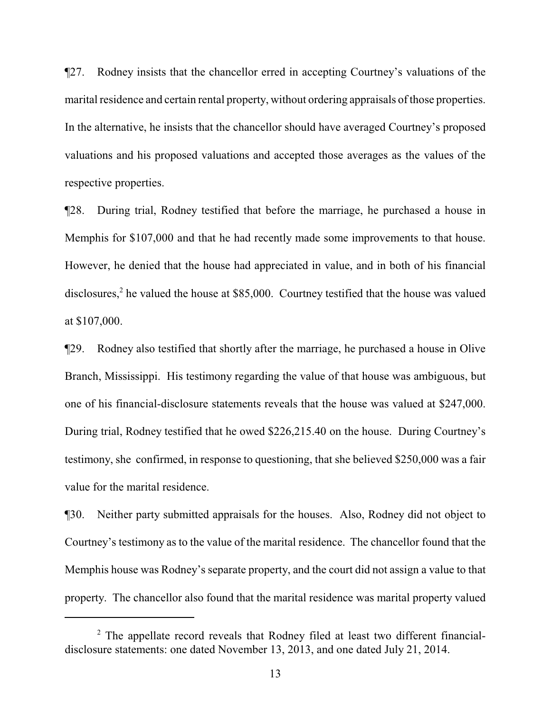¶27. Rodney insists that the chancellor erred in accepting Courtney's valuations of the marital residence and certain rental property, without ordering appraisals of those properties. In the alternative, he insists that the chancellor should have averaged Courtney's proposed valuations and his proposed valuations and accepted those averages as the values of the respective properties.

¶28. During trial, Rodney testified that before the marriage, he purchased a house in Memphis for \$107,000 and that he had recently made some improvements to that house. However, he denied that the house had appreciated in value, and in both of his financial disclosures,<sup>2</sup> he valued the house at \$85,000. Courtney testified that the house was valued at \$107,000.

¶29. Rodney also testified that shortly after the marriage, he purchased a house in Olive Branch, Mississippi. His testimony regarding the value of that house was ambiguous, but one of his financial-disclosure statements reveals that the house was valued at \$247,000. During trial, Rodney testified that he owed \$226,215.40 on the house. During Courtney's testimony, she confirmed, in response to questioning, that she believed \$250,000 was a fair value for the marital residence.

¶30. Neither party submitted appraisals for the houses. Also, Rodney did not object to Courtney's testimony as to the value of the marital residence. The chancellor found that the Memphis house was Rodney's separate property, and the court did not assign a value to that property. The chancellor also found that the marital residence was marital property valued

 $2$  The appellate record reveals that Rodney filed at least two different financialdisclosure statements: one dated November 13, 2013, and one dated July 21, 2014.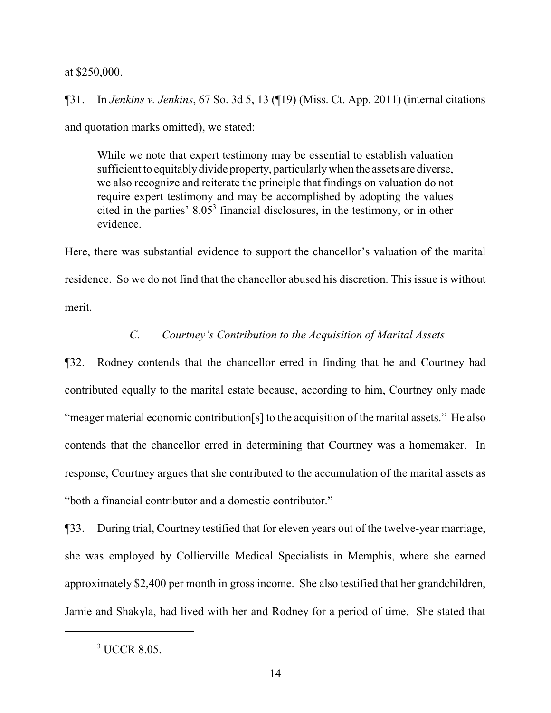#### at \$250,000.

¶31. In *Jenkins v. Jenkins*, 67 So. 3d 5, 13 (¶19) (Miss. Ct. App. 2011) (internal citations and quotation marks omitted), we stated:

While we note that expert testimony may be essential to establish valuation sufficient to equitably divide property, particularly when the assets are diverse, we also recognize and reiterate the principle that findings on valuation do not require expert testimony and may be accomplished by adopting the values cited in the parties'  $8.05<sup>3</sup>$  financial disclosures, in the testimony, or in other evidence.

Here, there was substantial evidence to support the chancellor's valuation of the marital residence. So we do not find that the chancellor abused his discretion. This issue is without merit.

## *C. Courtney's Contribution to the Acquisition of Marital Assets*

¶32. Rodney contends that the chancellor erred in finding that he and Courtney had contributed equally to the marital estate because, according to him, Courtney only made "meager material economic contribution[s] to the acquisition of the marital assets." He also contends that the chancellor erred in determining that Courtney was a homemaker. In response, Courtney argues that she contributed to the accumulation of the marital assets as "both a financial contributor and a domestic contributor."

¶33. During trial, Courtney testified that for eleven years out of the twelve-year marriage, she was employed by Collierville Medical Specialists in Memphis, where she earned approximately \$2,400 per month in gross income. She also testified that her grandchildren, Jamie and Shakyla, had lived with her and Rodney for a period of time. She stated that

<sup>3</sup> UCCR 8.05.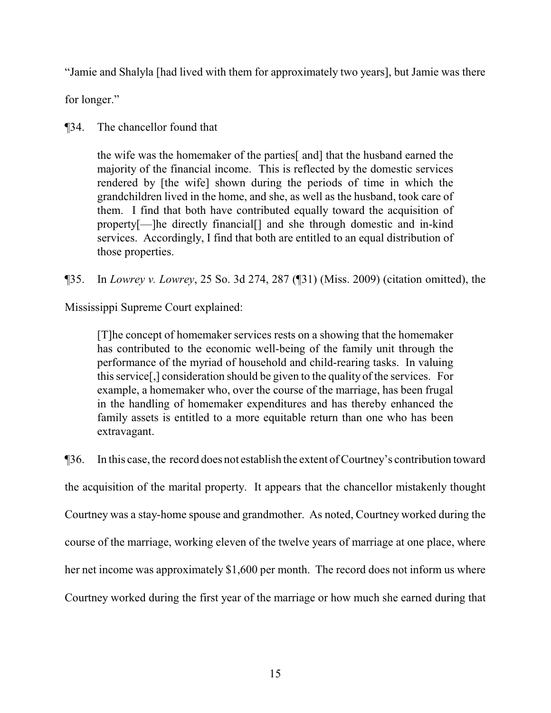"Jamie and Shalyla [had lived with them for approximately two years], but Jamie was there

for longer."

## ¶34. The chancellor found that

the wife was the homemaker of the parties[ and] that the husband earned the majority of the financial income. This is reflected by the domestic services rendered by [the wife] shown during the periods of time in which the grandchildren lived in the home, and she, as well as the husband, took care of them. I find that both have contributed equally toward the acquisition of property[—]he directly financial[] and she through domestic and in-kind services. Accordingly, I find that both are entitled to an equal distribution of those properties.

¶35. In *Lowrey v. Lowrey*, 25 So. 3d 274, 287 (¶31) (Miss. 2009) (citation omitted), the

Mississippi Supreme Court explained:

[T]he concept of homemaker services rests on a showing that the homemaker has contributed to the economic well-being of the family unit through the performance of the myriad of household and child-rearing tasks. In valuing this service[,] consideration should be given to the quality of the services. For example, a homemaker who, over the course of the marriage, has been frugal in the handling of homemaker expenditures and has thereby enhanced the family assets is entitled to a more equitable return than one who has been extravagant.

¶36. In this case, the record does not establish the extent of Courtney's contribution toward the acquisition of the marital property. It appears that the chancellor mistakenly thought Courtney was a stay-home spouse and grandmother. As noted, Courtney worked during the course of the marriage, working eleven of the twelve years of marriage at one place, where her net income was approximately \$1,600 per month. The record does not inform us where Courtney worked during the first year of the marriage or how much she earned during that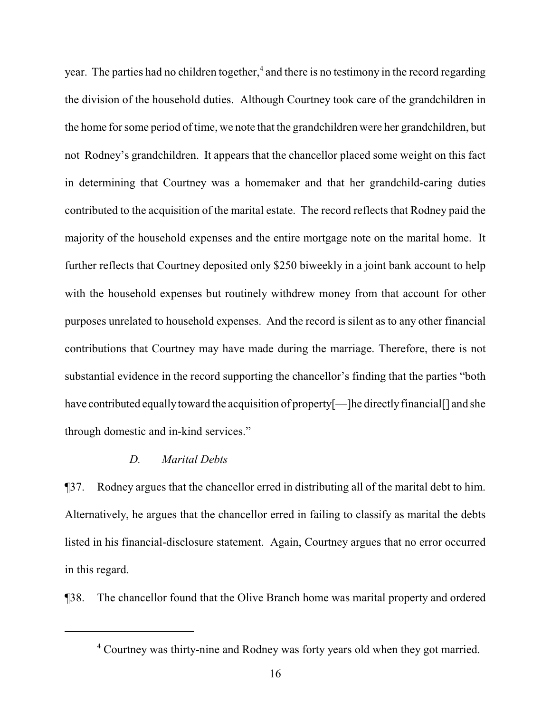year. The parties had no children together,<sup>4</sup> and there is no testimony in the record regarding the division of the household duties. Although Courtney took care of the grandchildren in the home for some period of time, we note that the grandchildren were her grandchildren, but not Rodney's grandchildren. It appears that the chancellor placed some weight on this fact in determining that Courtney was a homemaker and that her grandchild-caring duties contributed to the acquisition of the marital estate. The record reflects that Rodney paid the majority of the household expenses and the entire mortgage note on the marital home. It further reflects that Courtney deposited only \$250 biweekly in a joint bank account to help with the household expenses but routinely withdrew money from that account for other purposes unrelated to household expenses. And the record is silent as to any other financial contributions that Courtney may have made during the marriage. Therefore, there is not substantial evidence in the record supporting the chancellor's finding that the parties "both have contributed equally toward the acquisition of property [—]he directly financial [] and she through domestic and in-kind services."

### *D. Marital Debts*

¶37. Rodney argues that the chancellor erred in distributing all of the marital debt to him. Alternatively, he argues that the chancellor erred in failing to classify as marital the debts listed in his financial-disclosure statement. Again, Courtney argues that no error occurred in this regard.

¶38. The chancellor found that the Olive Branch home was marital property and ordered

<sup>&</sup>lt;sup>4</sup> Courtney was thirty-nine and Rodney was forty years old when they got married.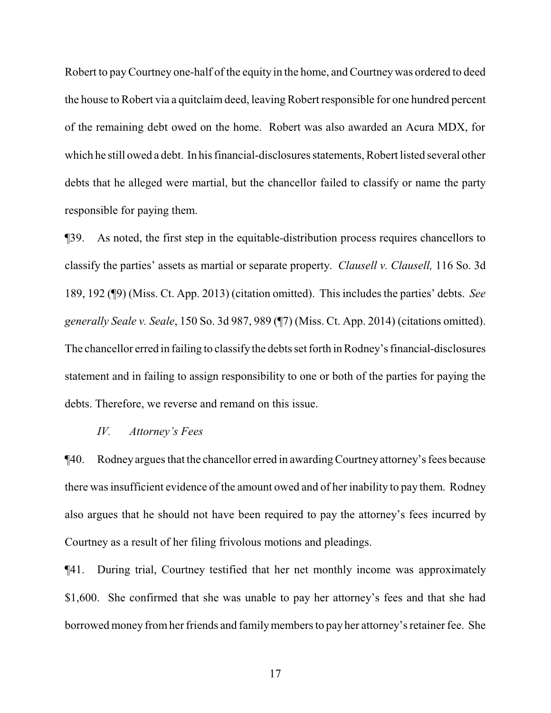Robert to payCourtney one-half of the equity in the home, and Courtneywas ordered to deed the house to Robert via a quitclaim deed, leaving Robert responsible for one hundred percent of the remaining debt owed on the home. Robert was also awarded an Acura MDX, for which he still owed a debt. In his financial-disclosures statements, Robert listed several other debts that he alleged were martial, but the chancellor failed to classify or name the party responsible for paying them.

¶39. As noted, the first step in the equitable-distribution process requires chancellors to classify the parties' assets as martial or separate property. *Clausell v. Clausell,* 116 So. 3d 189, 192 (¶9) (Miss. Ct. App. 2013) (citation omitted). This includes the parties' debts. *See generally Seale v. Seale*, 150 So. 3d 987, 989 (¶7) (Miss. Ct. App. 2014) (citations omitted). The chancellor erred in failing to classifythe debts set forth in Rodney's financial-disclosures statement and in failing to assign responsibility to one or both of the parties for paying the debts. Therefore, we reverse and remand on this issue.

#### *IV. Attorney's Fees*

¶40. Rodney argues that the chancellor erred in awarding Courtney attorney's fees because there was insufficient evidence of the amount owed and of her inability to pay them. Rodney also argues that he should not have been required to pay the attorney's fees incurred by Courtney as a result of her filing frivolous motions and pleadings.

¶41. During trial, Courtney testified that her net monthly income was approximately \$1,600. She confirmed that she was unable to pay her attorney's fees and that she had borrowed money fromher friends and familymembers to pay her attorney's retainer fee. She

17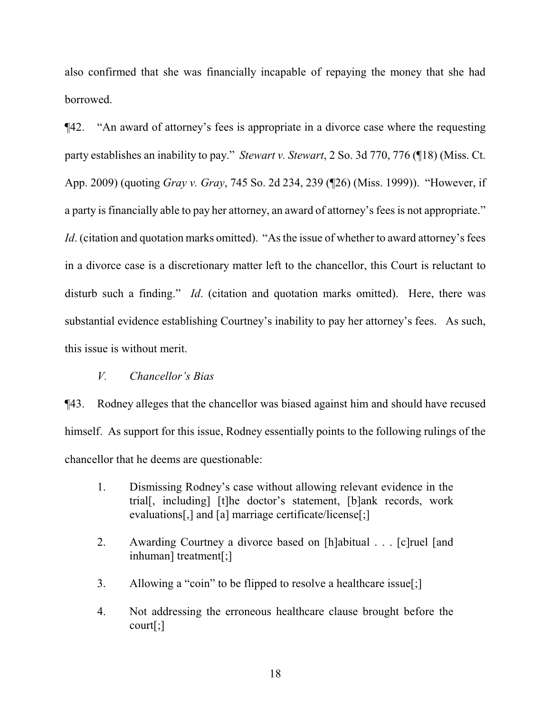also confirmed that she was financially incapable of repaying the money that she had borrowed.

¶42. "An award of attorney's fees is appropriate in a divorce case where the requesting party establishes an inability to pay." *Stewart v. Stewart*, 2 So. 3d 770, 776 (¶18) (Miss. Ct. App. 2009) (quoting *Gray v. Gray*, 745 So. 2d 234, 239 (¶26) (Miss. 1999)). "However, if a party is financially able to pay her attorney, an award of attorney's fees is not appropriate." *Id.* (citation and quotation marks omitted). "As the issue of whether to award attorney's fees in a divorce case is a discretionary matter left to the chancellor, this Court is reluctant to disturb such a finding." *Id*. (citation and quotation marks omitted). Here, there was substantial evidence establishing Courtney's inability to pay her attorney's fees. As such, this issue is without merit.

## *V. Chancellor's Bias*

¶43. Rodney alleges that the chancellor was biased against him and should have recused himself. As support for this issue, Rodney essentially points to the following rulings of the chancellor that he deems are questionable:

- 1. Dismissing Rodney's case without allowing relevant evidence in the trial[, including] [t]he doctor's statement, [b]ank records, work evaluations[,] and [a] marriage certificate/license[;]
- 2. Awarding Courtney a divorce based on [h]abitual . . . [c]ruel [and inhuman] treatment[;]
- 3. Allowing a "coin" to be flipped to resolve a healthcare issue[;]
- 4. Not addressing the erroneous healthcare clause brought before the court[;]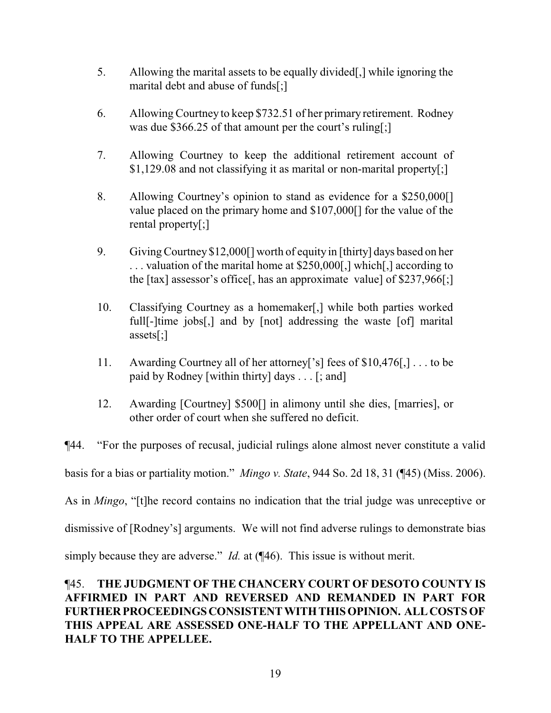- 5. Allowing the marital assets to be equally divided[,] while ignoring the marital debt and abuse of funds[;]
- 6. Allowing Courtney to keep \$732.51 of her primary retirement. Rodney was due \$366.25 of that amount per the court's ruling[;]
- 7. Allowing Courtney to keep the additional retirement account of \$1,129.08 and not classifying it as marital or non-marital property[;]
- 8. Allowing Courtney's opinion to stand as evidence for a \$250,000[] value placed on the primary home and \$107,000[] for the value of the rental property[;]
- 9. Giving Courtney \$12,000[] worth of equity in [thirty] days based on her . . . valuation of the marital home at \$250,000[,] which[,] according to the [tax] assessor's office[, has an approximate value] of \$237,966[;]
- 10. Classifying Courtney as a homemaker[,] while both parties worked full[-]time jobs[,] and by [not] addressing the waste [of] marital assets[;]
- 11. Awarding Courtney all of her attorney['s] fees of \$10,476[,] . . . to be paid by Rodney [within thirty] days . . . [; and]
- 12. Awarding [Courtney] \$500[] in alimony until she dies, [marries], or other order of court when she suffered no deficit.

¶44. "For the purposes of recusal, judicial rulings alone almost never constitute a valid basis for a bias or partiality motion." *Mingo v. State*, 944 So. 2d 18, 31 (¶45) (Miss. 2006). As in *Mingo*, "[t]he record contains no indication that the trial judge was unreceptive or dismissive of [Rodney's] arguments. We will not find adverse rulings to demonstrate bias simply because they are adverse." *Id.* at (¶46). This issue is without merit.

# ¶45. **THE JUDGMENT OF THE CHANCERY COURT OF DESOTO COUNTY IS AFFIRMED IN PART AND REVERSED AND REMANDED IN PART FOR FURTHERPROCEEDINGSCONSISTENTWITHTHISOPINION. ALLCOSTS OF THIS APPEAL ARE ASSESSED ONE-HALF TO THE APPELLANT AND ONE-HALF TO THE APPELLEE.**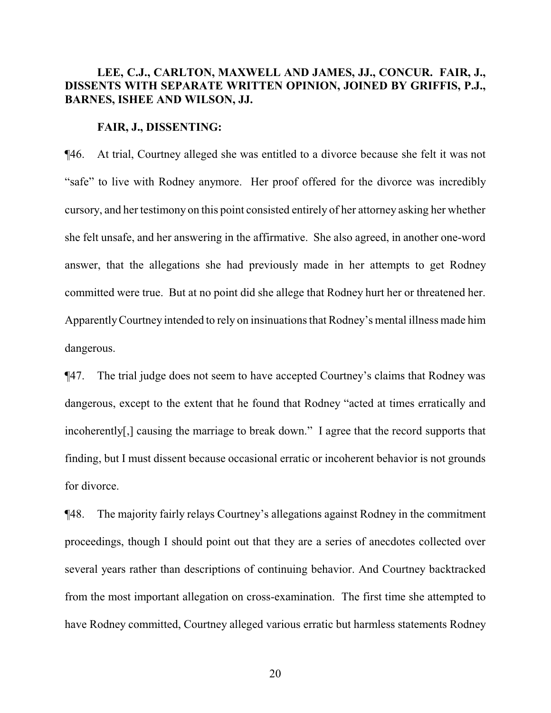## **LEE, C.J., CARLTON, MAXWELL AND JAMES, JJ., CONCUR. FAIR, J., DISSENTS WITH SEPARATE WRITTEN OPINION, JOINED BY GRIFFIS, P.J., BARNES, ISHEE AND WILSON, JJ.**

#### **FAIR, J., DISSENTING:**

¶46. At trial, Courtney alleged she was entitled to a divorce because she felt it was not "safe" to live with Rodney anymore. Her proof offered for the divorce was incredibly cursory, and her testimony on this point consisted entirely of her attorney asking her whether she felt unsafe, and her answering in the affirmative. She also agreed, in another one-word answer, that the allegations she had previously made in her attempts to get Rodney committed were true. But at no point did she allege that Rodney hurt her or threatened her. ApparentlyCourtney intended to rely on insinuations that Rodney's mental illness made him dangerous.

¶47. The trial judge does not seem to have accepted Courtney's claims that Rodney was dangerous, except to the extent that he found that Rodney "acted at times erratically and incoherently[,] causing the marriage to break down." I agree that the record supports that finding, but I must dissent because occasional erratic or incoherent behavior is not grounds for divorce.

¶48. The majority fairly relays Courtney's allegations against Rodney in the commitment proceedings, though I should point out that they are a series of anecdotes collected over several years rather than descriptions of continuing behavior. And Courtney backtracked from the most important allegation on cross-examination. The first time she attempted to have Rodney committed, Courtney alleged various erratic but harmless statements Rodney

20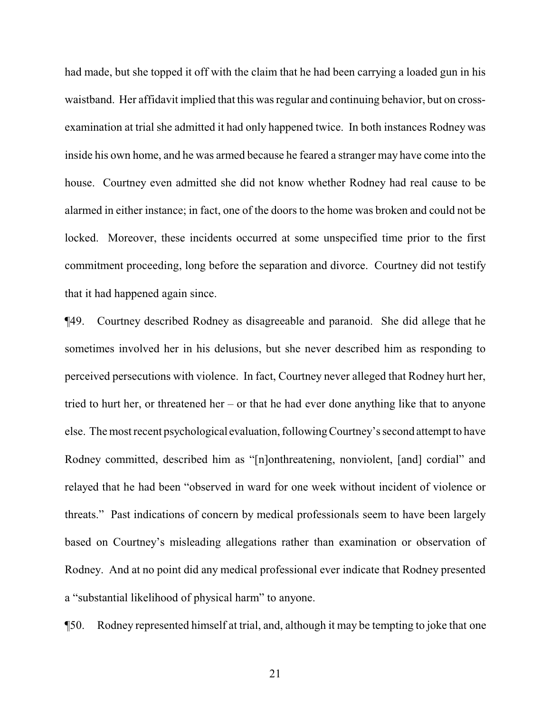had made, but she topped it off with the claim that he had been carrying a loaded gun in his waistband. Her affidavit implied that this was regular and continuing behavior, but on crossexamination at trial she admitted it had only happened twice. In both instances Rodney was inside his own home, and he was armed because he feared a stranger may have come into the house. Courtney even admitted she did not know whether Rodney had real cause to be alarmed in either instance; in fact, one of the doors to the home was broken and could not be locked. Moreover, these incidents occurred at some unspecified time prior to the first commitment proceeding, long before the separation and divorce. Courtney did not testify that it had happened again since.

¶49. Courtney described Rodney as disagreeable and paranoid. She did allege that he sometimes involved her in his delusions, but she never described him as responding to perceived persecutions with violence. In fact, Courtney never alleged that Rodney hurt her, tried to hurt her, or threatened her – or that he had ever done anything like that to anyone else. The most recent psychological evaluation, following Courtney's second attempt to have Rodney committed, described him as "[n]onthreatening, nonviolent, [and] cordial" and relayed that he had been "observed in ward for one week without incident of violence or threats." Past indications of concern by medical professionals seem to have been largely based on Courtney's misleading allegations rather than examination or observation of Rodney. And at no point did any medical professional ever indicate that Rodney presented a "substantial likelihood of physical harm" to anyone.

¶50. Rodney represented himself at trial, and, although it may be tempting to joke that one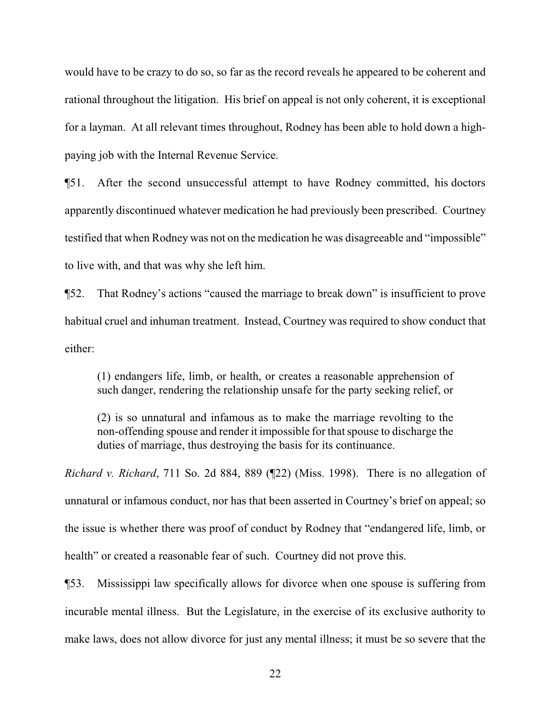would have to be crazy to do so, so far as the record reveals he appeared to be coherent and rational throughout the litigation. His brief on appeal is not only coherent, it is exceptional for a layman. At all relevant times throughout, Rodney has been able to hold down a highpaying job with the Internal Revenue Service.

¶51. After the second unsuccessful attempt to have Rodney committed, his doctors apparently discontinued whatever medication he had previously been prescribed. Courtney testified that when Rodney was not on the medication he was disagreeable and "impossible" to live with, and that was why she left him.

¶52. That Rodney's actions "caused the marriage to break down" is insufficient to prove habitual cruel and inhuman treatment. Instead, Courtney was required to show conduct that either:

(1) endangers life, limb, or health, or creates a reasonable apprehension of such danger, rendering the relationship unsafe for the party seeking relief, or

(2) is so unnatural and infamous as to make the marriage revolting to the non-offending spouse and render it impossible for that spouse to discharge the duties of marriage, thus destroying the basis for its continuance.

*Richard v. Richard*, 711 So. 2d 884, 889 (¶22) (Miss. 1998). There is no allegation of unnatural or infamous conduct, nor has that been asserted in Courtney's brief on appeal; so the issue is whether there was proof of conduct by Rodney that "endangered life, limb, or health" or created a reasonable fear of such. Courtney did not prove this.

¶53. Mississippi law specifically allows for divorce when one spouse is suffering from incurable mental illness. But the Legislature, in the exercise of its exclusive authority to make laws, does not allow divorce for just any mental illness; it must be so severe that the